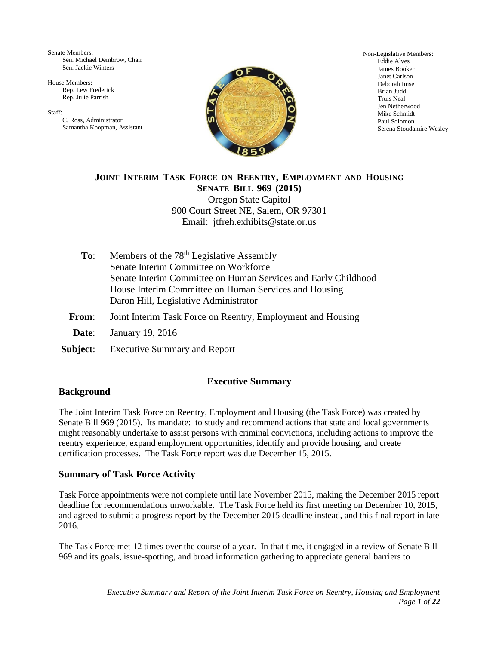Senate Members: Sen. Michael Dembrow, Chair Sen. Jackie Winters

House Members: Rep. Lew Frederick Rep. Julie Parrish

Staff:

C. Ross, Administrator Samantha Koopman, Assistant



Non-Legislative Members: Eddie Alves James Booker Janet Carlson Deborah Imse Brian Judd Truls Neal Jen Netherwood Mike Schmidt Paul Solomon Serena Stoudamire Wesley

# **JOINT INTERIM TASK FORCE ON REENTRY, EMPLOYMENT AND HOUSING SENATE BILL 969 (2015)** Oregon State Capitol 900 Court Street NE, Salem, OR 97301 Email: jtfreh.exhibits@state.or.us

| To: | Members of the 78 <sup>th</sup> Legislative Assembly           |
|-----|----------------------------------------------------------------|
|     | Senate Interim Committee on Workforce                          |
|     | Senate Interim Committee on Human Services and Early Childhood |
|     | House Interim Committee on Human Services and Housing          |
|     | Daron Hill, Legislative Administrator                          |
|     |                                                                |

- **From**: Joint Interim Task Force on Reentry, Employment and Housing
- **Date**: January 19, 2016
- **Subject**: Executive Summary and Report

# **Executive Summary**

# **Background**

The Joint Interim Task Force on Reentry, Employment and Housing (the Task Force) was created by Senate Bill 969 (2015). Its mandate: to study and recommend actions that state and local governments might reasonably undertake to assist persons with criminal convictions, including actions to improve the reentry experience, expand employment opportunities, identify and provide housing, and create certification processes. The Task Force report was due December 15, 2015.

# **Summary of Task Force Activity**

Task Force appointments were not complete until late November 2015, making the December 2015 report deadline for recommendations unworkable. The Task Force held its first meeting on December 10, 2015, and agreed to submit a progress report by the December 2015 deadline instead, and this final report in late 2016.

The Task Force met 12 times over the course of a year. In that time, it engaged in a review of Senate Bill 969 and its goals, issue-spotting, and broad information gathering to appreciate general barriers to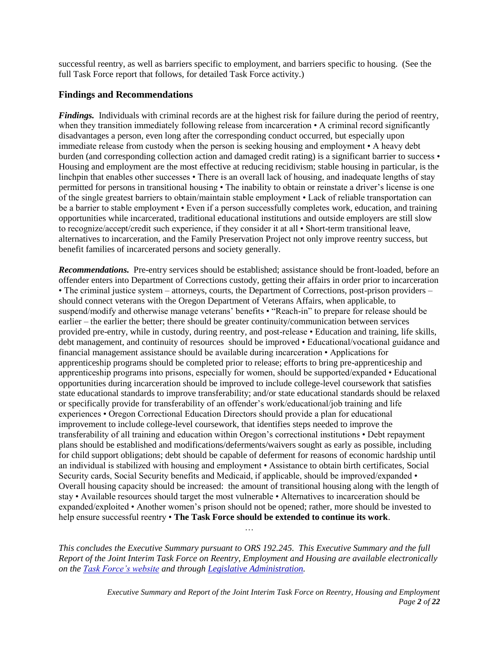successful reentry, as well as barriers specific to employment, and barriers specific to housing. (See the full Task Force report that follows, for detailed Task Force activity.)

# **Findings and Recommendations**

*Findings.* Individuals with criminal records are at the highest risk for failure during the period of reentry, when they transition immediately following release from incarceration • A criminal record significantly disadvantages a person, even long after the corresponding conduct occurred, but especially upon immediate release from custody when the person is seeking housing and employment • A heavy debt burden (and corresponding collection action and damaged credit rating) is a significant barrier to success • Housing and employment are the most effective at reducing recidivism; stable housing in particular, is the linchpin that enables other successes • There is an overall lack of housing, and inadequate lengths of stay permitted for persons in transitional housing • The inability to obtain or reinstate a driver's license is one of the single greatest barriers to obtain/maintain stable employment • Lack of reliable transportation can be a barrier to stable employment • Even if a person successfully completes work, education, and training opportunities while incarcerated, traditional educational institutions and outside employers are still slow to recognize/accept/credit such experience, if they consider it at all • Short-term transitional leave, alternatives to incarceration, and the Family Preservation Project not only improve reentry success, but benefit families of incarcerated persons and society generally.

*Recommendations.* Pre-entry services should be established; assistance should be front-loaded, before an offender enters into Department of Corrections custody, getting their affairs in order prior to incarceration • The criminal justice system – attorneys, courts, the Department of Corrections, post-prison providers – should connect veterans with the Oregon Department of Veterans Affairs, when applicable, to suspend/modify and otherwise manage veterans' benefits • "Reach-in" to prepare for release should be earlier – the earlier the better; there should be greater continuity/communication between services provided pre-entry, while in custody, during reentry, and post-release • Education and training, life skills, debt management, and continuity of resources should be improved • Educational/vocational guidance and financial management assistance should be available during incarceration • Applications for apprenticeship programs should be completed prior to release; efforts to bring pre-apprenticeship and apprenticeship programs into prisons, especially for women, should be supported/expanded • Educational opportunities during incarceration should be improved to include college-level coursework that satisfies state educational standards to improve transferability; and/or state educational standards should be relaxed or specifically provide for transferability of an offender's work/educational/job training and life experiences • Oregon Correctional Education Directors should provide a plan for educational improvement to include college-level coursework, that identifies steps needed to improve the transferability of all training and education within Oregon's correctional institutions • Debt repayment plans should be established and modifications/deferments/waivers sought as early as possible, including for child support obligations; debt should be capable of deferment for reasons of economic hardship until an individual is stabilized with housing and employment • Assistance to obtain birth certificates, Social Security cards, Social Security benefits and Medicaid, if applicable, should be improved/expanded • Overall housing capacity should be increased: the amount of transitional housing along with the length of stay • Available resources should target the most vulnerable • Alternatives to incarceration should be expanded/exploited • Another women's prison should not be opened; rather, more should be invested to help ensure successful reentry • **The Task Force should be extended to continue its work**.

*This concludes the Executive Summary pursuant to ORS 192.245. This Executive Summary and the full Report of the Joint Interim Task Force on Reentry, Employment and Housing are available electronically on the [Task Force's website](https://olis.leg.state.or.us/liz/2015I1/Committees/JTFREH/Overview) and through [Legislative Administration.](https://www.oregonlegislature.gov/citizen_engagement/Pages/Publications-Reports.aspx)*

…

*Executive Summary and Report of the Joint Interim Task Force on Reentry, Housing and Employment Page 2 of 22*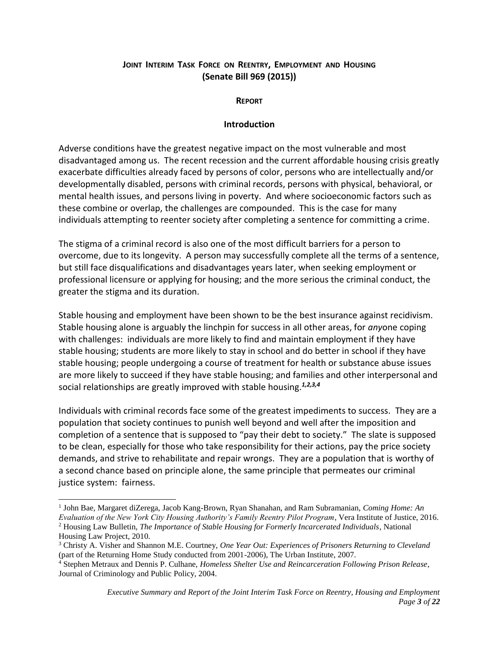# **JOINT INTERIM TASK FORCE ON REENTRY, EMPLOYMENT AND HOUSING (Senate Bill 969 (2015))**

**REPORT**

# **Introduction**

Adverse conditions have the greatest negative impact on the most vulnerable and most disadvantaged among us. The recent recession and the current affordable housing crisis greatly exacerbate difficulties already faced by persons of color, persons who are intellectually and/or developmentally disabled, persons with criminal records, persons with physical, behavioral, or mental health issues, and persons living in poverty. And where socioeconomic factors such as these combine or overlap, the challenges are compounded. This is the case for many individuals attempting to reenter society after completing a sentence for committing a crime.

The stigma of a criminal record is also one of the most difficult barriers for a person to overcome, due to its longevity. A person may successfully complete all the terms of a sentence, but still face disqualifications and disadvantages years later, when seeking employment or professional licensure or applying for housing; and the more serious the criminal conduct, the greater the stigma and its duration.

Stable housing and employment have been shown to be the best insurance against recidivism. Stable housing alone is arguably the linchpin for success in all other areas, for *any*one coping with challenges: individuals are more likely to find and maintain employment if they have stable housing; students are more likely to stay in school and do better in school if they have stable housing; people undergoing a course of treatment for health or substance abuse issues are more likely to succeed if they have stable housing; and families and other interpersonal and social relationships are greatly improved with stable housing.*1,2,3,4*

Individuals with criminal records face some of the greatest impediments to success. They are a population that society continues to punish well beyond and well after the imposition and completion of a sentence that is supposed to "pay their debt to society." The slate is supposed to be clean, especially for those who take responsibility for their actions, pay the price society demands, and strive to rehabilitate and repair wrongs. They are a population that is worthy of a second chance based on principle alone, the same principle that permeates our criminal justice system: fairness.

 1 John Bae, Margaret diZerega, Jacob Kang-Brown, Ryan Shanahan, and Ram Subramanian, *Coming Home: An Evaluation of the New York City Housing Authority's Family Reentry Pilot Program*, Vera Institute of Justice, 2016. <sup>2</sup> Housing Law Bulletin, *The Importance of Stable Housing for Formerly Incarcerated Individuals*, National

Housing Law Project, 2010.

<sup>3</sup> Christy A. Visher and Shannon M.E. Courtney, *One Year Out: Experiences of Prisoners Returning to Cleveland* (part of the Returning Home Study conducted from 2001-2006), The Urban Institute, 2007.

<sup>4</sup> Stephen Metraux and Dennis P. Culhane, *Homeless Shelter Use and Reincarceration Following Prison Release*, Journal of Criminology and Public Policy, 2004.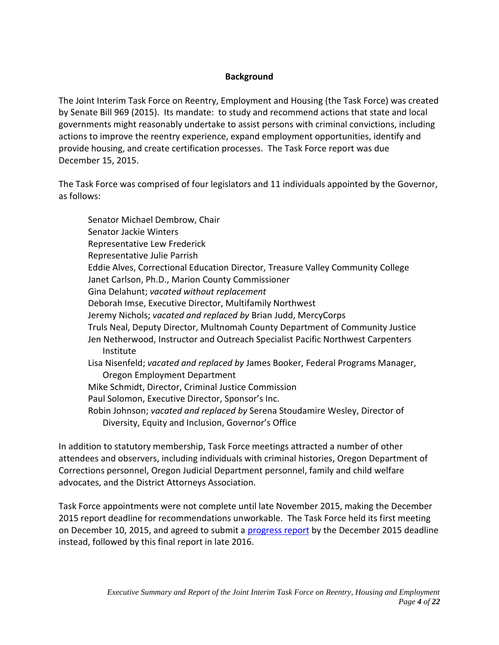# **Background**

The Joint Interim Task Force on Reentry, Employment and Housing (the Task Force) was created by Senate Bill 969 (2015). Its mandate: to study and recommend actions that state and local governments might reasonably undertake to assist persons with criminal convictions, including actions to improve the reentry experience, expand employment opportunities, identify and provide housing, and create certification processes. The Task Force report was due December 15, 2015.

The Task Force was comprised of four legislators and 11 individuals appointed by the Governor, as follows:

Senator Michael Dembrow, Chair Senator Jackie Winters Representative Lew Frederick Representative Julie Parrish Eddie Alves, Correctional Education Director, Treasure Valley Community College Janet Carlson, Ph.D., Marion County Commissioner Gina Delahunt; *vacated without replacement* Deborah Imse, Executive Director, Multifamily Northwest Jeremy Nichols; *vacated and replaced by* Brian Judd, MercyCorps Truls Neal, Deputy Director, Multnomah County Department of Community Justice Jen Netherwood, Instructor and Outreach Specialist Pacific Northwest Carpenters Institute Lisa Nisenfeld; *vacated and replaced by* James Booker, Federal Programs Manager, Oregon Employment Department Mike Schmidt, Director, Criminal Justice Commission Paul Solomon, Executive Director, Sponsor's Inc. Robin Johnson; *vacated and replaced by* Serena Stoudamire Wesley, Director of Diversity, Equity and Inclusion, Governor's Office

In addition to statutory membership, Task Force meetings attracted a number of other attendees and observers, including individuals with criminal histories, Oregon Department of Corrections personnel, Oregon Judicial Department personnel, family and child welfare advocates, and the District Attorneys Association.

Task Force appointments were not complete until late November 2015, making the December 2015 report deadline for recommendations unworkable. The Task Force held its first meeting on December 10, 2015, and agreed to submit a [progress report](../Meeting%20Materials/12-10-15/2015.12.11%20Reentry%20TF%20progress%20report.pdf) by the December 2015 deadline instead, followed by this final report in late 2016.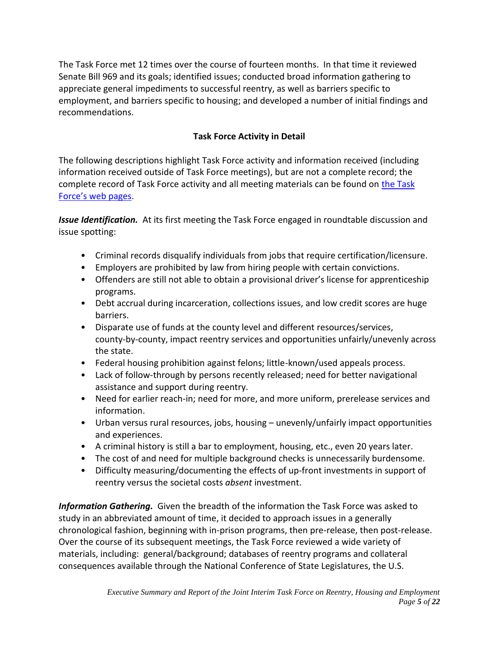The Task Force met 12 times over the course of fourteen months. In that time it reviewed Senate Bill 969 and its goals; identified issues; conducted broad information gathering to appreciate general impediments to successful reentry, as well as barriers specific to employment, and barriers specific to housing; and developed a number of initial findings and recommendations.

# **Task Force Activity in Detail**

The following descriptions highlight Task Force activity and information received (including information received outside of Task Force meetings), but are not a complete record; the complete record of Task Force activity and all meeting materials can be found on [the Task](https://olis.leg.state.or.us/liz/2015I1/Committees/JTFREH/Overview)  [Force's web pages](https://olis.leg.state.or.us/liz/2015I1/Committees/JTFREH/Overview).

*Issue Identification.* At its first meeting the Task Force engaged in roundtable discussion and issue spotting:

- Criminal records disqualify individuals from jobs that require certification/licensure.
- Employers are prohibited by law from hiring people with certain convictions.
- Offenders are still not able to obtain a provisional driver's license for apprenticeship programs.
- Debt accrual during incarceration, collections issues, and low credit scores are huge barriers.
- Disparate use of funds at the county level and different resources/services, county-by-county, impact reentry services and opportunities unfairly/unevenly across the state.
- Federal housing prohibition against felons; little-known/used appeals process.
- Lack of follow-through by persons recently released; need for better navigational assistance and support during reentry.
- Need for earlier reach-in; need for more, and more uniform, prerelease services and information.
- Urban versus rural resources, jobs, housing unevenly/unfairly impact opportunities and experiences.
- A criminal history is still a bar to employment, housing, etc., even 20 years later.
- The cost of and need for multiple background checks is unnecessarily burdensome.
- Difficulty measuring/documenting the effects of up-front investments in support of reentry versus the societal costs *absent* investment.

*Information Gathering.* Given the breadth of the information the Task Force was asked to study in an abbreviated amount of time, it decided to approach issues in a generally chronological fashion, beginning with in-prison programs, then pre-release, then post-release. Over the course of its subsequent meetings, the Task Force reviewed a wide variety of materials, including: general/background; databases of reentry programs and collateral consequences available through the National Conference of State Legislatures, the U.S.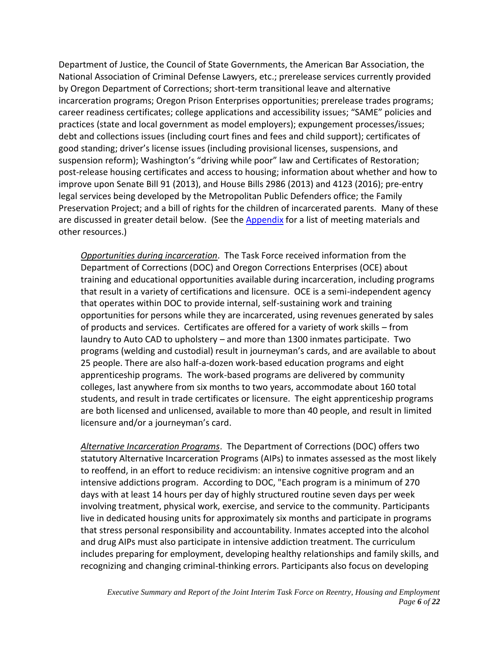Department of Justice, the Council of State Governments, the American Bar Association, the National Association of Criminal Defense Lawyers, etc.; prerelease services currently provided by Oregon Department of Corrections; short-term transitional leave and alternative incarceration programs; Oregon Prison Enterprises opportunities; prerelease trades programs; career readiness certificates; college applications and accessibility issues; "SAME" policies and practices (state and local government as model employers); expungement processes/issues; debt and collections issues (including court fines and fees and child support); certificates of good standing; driver's license issues (including provisional licenses, suspensions, and suspension reform); Washington's "driving while poor" law and Certificates of Restoration; post-release housing certificates and access to housing; information about whether and how to improve upon Senate Bill 91 (2013), and House Bills 2986 (2013) and 4123 (2016); pre-entry legal services being developed by the Metropolitan Public Defenders office; the Family Preservation Project; and a bill of rights for the children of incarcerated parents. Many of these are discussed in greater detail below. (See the [Appendix](#page-18-0) for a list of meeting materials and other resources.)

*Opportunities during incarceration*. The Task Force received information from the Department of Corrections (DOC) and Oregon Corrections Enterprises (OCE) about training and educational opportunities available during incarceration, including programs that result in a variety of certifications and licensure. OCE is a semi-independent agency that operates within DOC to provide internal, self-sustaining work and training opportunities for persons while they are incarcerated, using revenues generated by sales of products and services. Certificates are offered for a variety of work skills – from laundry to Auto CAD to upholstery – and more than 1300 inmates participate. Two programs (welding and custodial) result in journeyman's cards, and are available to about 25 people. There are also half-a-dozen work-based education programs and eight apprenticeship programs. The work-based programs are delivered by community colleges, last anywhere from six months to two years, accommodate about 160 total students, and result in trade certificates or licensure. The eight apprenticeship programs are both licensed and unlicensed, available to more than 40 people, and result in limited licensure and/or a journeyman's card.

*Alternative Incarceration Programs*. The Department of Corrections (DOC) offers two statutory Alternative Incarceration Programs (AIPs) to inmates assessed as the most likely to reoffend, in an effort to reduce recidivism: an intensive cognitive program and an intensive addictions program. According to DOC, "Each program is a minimum of 270 days with at least 14 hours per day of highly structured routine seven days per week involving treatment, physical work, exercise, and service to the community. Participants live in dedicated housing units for approximately six months and participate in programs that stress personal responsibility and accountability. Inmates accepted into the alcohol and drug AIPs must also participate in intensive addiction treatment. The curriculum includes preparing for employment, developing healthy relationships and family skills, and recognizing and changing criminal-thinking errors. Participants also focus on developing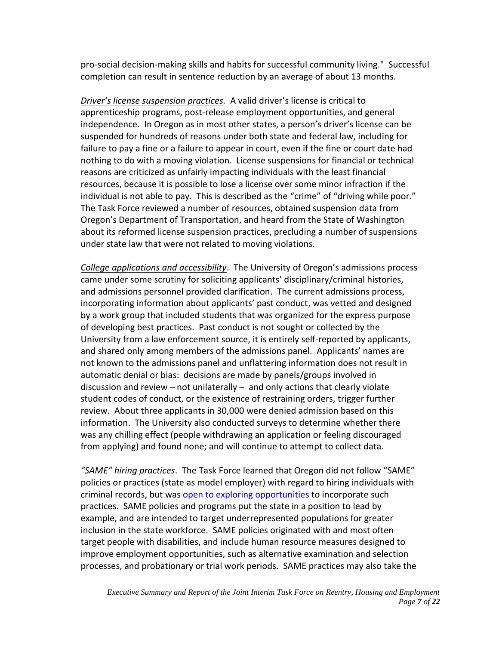pro-social decision-making skills and habits for successful community living." Successful completion can result in sentence reduction by an average of about 13 months.

*Driver's license suspension practices.* A valid driver's license is critical to apprenticeship programs, post-release employment opportunities, and general independence. In Oregon as in most other states, a person's driver's license can be suspended for hundreds of reasons under both state and federal law, including for failure to pay a fine or a failure to appear in court, even if the fine or court date had nothing to do with a moving violation. License suspensions for financial or technical reasons are criticized as unfairly impacting individuals with the least financial resources, because it is possible to lose a license over some minor infraction if the individual is not able to pay. This is described as the "crime" of "driving while poor." The Task Force reviewed a number of resources, obtained suspension data from Oregon's Department of Transportation, and heard from the State of Washington about its reformed license suspension practices, precluding a number of suspensions under state law that were not related to moving violations.

*College applications and accessibility*. The University of Oregon's admissions process came under some scrutiny for soliciting applicants' disciplinary/criminal histories, and admissions personnel provided clarification. The current admissions process, incorporating information about applicants' past conduct, was vetted and designed by a work group that included students that was organized for the express purpose of developing best practices. Past conduct is not sought or collected by the University from a law enforcement source, it is entirely self-reported by applicants, and shared only among members of the admissions panel. Applicants' names are not known to the admissions panel and unflattering information does not result in automatic denial or bias: decisions are made by panels/groups involved in discussion and review – not unilaterally – and only actions that clearly violate student codes of conduct, or the existence of restraining orders, trigger further review. About three applicants in 30,000 were denied admission based on this information. The University also conducted surveys to determine whether there was any chilling effect (people withdrawing an application or feeling discouraged from applying) and found none; and will continue to attempt to collect data.

*"SAME" hiring practices*. The Task Force learned that Oregon did not follow "SAME" policies or practices (state as model employer) with regard to hiring individuals with criminal records, but was [open to exploring opportunities](https://olis.leg.state.or.us/liz/2015I1/Downloads/CommitteeMeetingDocument/94176) to incorporate such practices. SAME policies and programs put the state in a position to lead by example, and are intended to target underrepresented populations for greater inclusion in the state workforce. SAME policies originated with and most often target people with disabilities, and include human resource measures designed to improve employment opportunities, such as alternative examination and selection processes, and probationary or trial work periods. SAME practices may also take the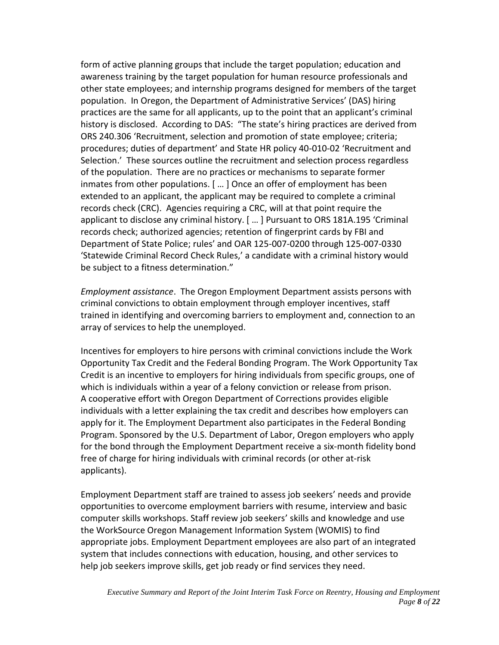form of active planning groups that include the target population; education and awareness training by the target population for human resource professionals and other state employees; and internship programs designed for members of the target population. In Oregon, the Department of Administrative Services' (DAS) hiring practices are the same for all applicants, up to the point that an applicant's criminal history is disclosed. According to DAS: "The state's hiring practices are derived from ORS 240.306 'Recruitment, selection and promotion of state employee; criteria; procedures; duties of department' and State HR policy 40-010-02 'Recruitment and Selection.' These sources outline the recruitment and selection process regardless of the population. There are no practices or mechanisms to separate former inmates from other populations. [ … ] Once an offer of employment has been extended to an applicant, the applicant may be required to complete a criminal records check (CRC). Agencies requiring a CRC, will at that point require the applicant to disclose any criminal history. [ … ] Pursuant to ORS 181A.195 'Criminal records check; authorized agencies; retention of fingerprint cards by FBI and Department of State Police; rules' and OAR 125-007-0200 through 125-007-0330 'Statewide Criminal Record Check Rules,' a candidate with a criminal history would be subject to a fitness determination."

*Employment assistance*. The Oregon Employment Department assists persons with criminal convictions to obtain employment through employer incentives, staff trained in identifying and overcoming barriers to employment and, connection to an array of services to help the unemployed.

Incentives for employers to hire persons with criminal convictions include the Work Opportunity Tax Credit and the Federal Bonding Program. The Work Opportunity Tax Credit is an incentive to employers for hiring individuals from specific groups, one of which is individuals within a year of a felony conviction or release from prison. A cooperative effort with Oregon Department of Corrections provides eligible individuals with a letter explaining the tax credit and describes how employers can apply for it. The Employment Department also participates in the Federal Bonding Program. Sponsored by the U.S. Department of Labor, Oregon employers who apply for the bond through the Employment Department receive a six-month fidelity bond free of charge for hiring individuals with criminal records (or other at-risk applicants).

Employment Department staff are trained to assess job seekers' needs and provide opportunities to overcome employment barriers with resume, interview and basic computer skills workshops. Staff review job seekers' skills and knowledge and use the WorkSource Oregon Management Information System (WOMIS) to find appropriate jobs. Employment Department employees are also part of an integrated system that includes connections with education, housing, and other services to help job seekers improve skills, get job ready or find services they need.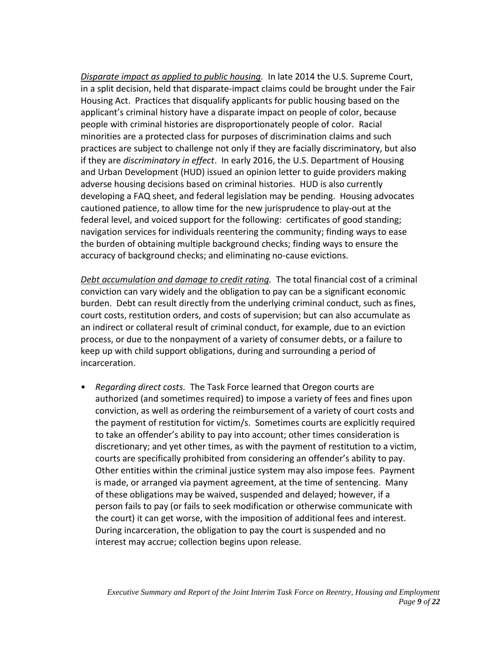*Disparate impact as applied to public housing.* In late 2014 the U.S. Supreme Court, in a split decision, held that disparate-impact claims could be brought under the Fair Housing Act. Practices that disqualify applicants for public housing based on the applicant's criminal history have a disparate impact on people of color, because people with criminal histories are disproportionately people of color. Racial minorities are a protected class for purposes of discrimination claims and such practices are subject to challenge not only if they are facially discriminatory, but also if they are *discriminatory in effect*. In early 2016, the U.S. Department of Housing and Urban Development (HUD) issued an opinion letter to guide providers making adverse housing decisions based on criminal histories. HUD is also currently developing a FAQ sheet, and federal legislation may be pending. Housing advocates cautioned patience, to allow time for the new jurisprudence to play-out at the federal level, and voiced support for the following: certificates of good standing; navigation services for individuals reentering the community; finding ways to ease the burden of obtaining multiple background checks; finding ways to ensure the accuracy of background checks; and eliminating no-cause evictions.

*Debt accumulation and damage to credit rating.* The total financial cost of a criminal conviction can vary widely and the obligation to pay can be a significant economic burden. Debt can result directly from the underlying criminal conduct, such as fines, court costs, restitution orders, and costs of supervision; but can also accumulate as an indirect or collateral result of criminal conduct, for example, due to an eviction process, or due to the nonpayment of a variety of consumer debts, or a failure to keep up with child support obligations, during and surrounding a period of incarceration.

• *Regarding direct costs.* The Task Force learned that Oregon courts are authorized (and sometimes required) to impose a variety of fees and fines upon conviction, as well as ordering the reimbursement of a variety of court costs and the payment of restitution for victim/s. Sometimes courts are explicitly required to take an offender's ability to pay into account; other times consideration is discretionary; and yet other times, as with the payment of restitution to a victim, courts are specifically prohibited from considering an offender's ability to pay. Other entities within the criminal justice system may also impose fees. Payment is made, or arranged via payment agreement, at the time of sentencing. Many of these obligations may be waived, suspended and delayed; however, if a person fails to pay (or fails to seek modification or otherwise communicate with the court) it can get worse, with the imposition of additional fees and interest. During incarceration, the obligation to pay the court is suspended and no interest may accrue; collection begins upon release.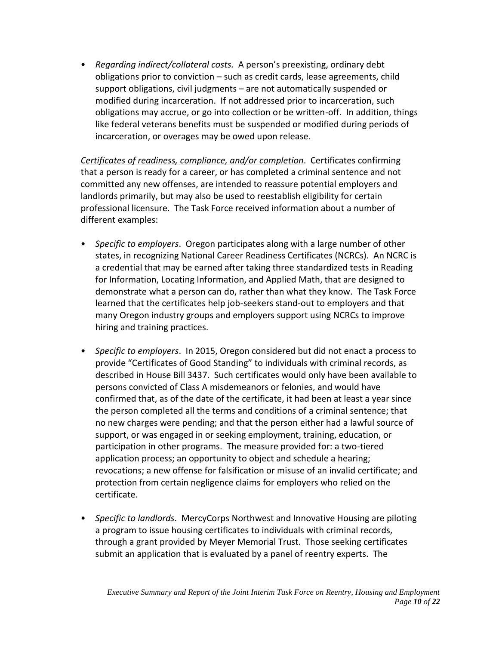• *Regarding indirect/collateral costs.* A person's preexisting, ordinary debt obligations prior to conviction – such as credit cards, lease agreements, child support obligations, civil judgments – are not automatically suspended or modified during incarceration. If not addressed prior to incarceration, such obligations may accrue, or go into collection or be written-off. In addition, things like federal veterans benefits must be suspended or modified during periods of incarceration, or overages may be owed upon release.

*Certificates of readiness, compliance, and/or completion*. Certificates confirming that a person is ready for a career, or has completed a criminal sentence and not committed any new offenses, are intended to reassure potential employers and landlords primarily, but may also be used to reestablish eligibility for certain professional licensure. The Task Force received information about a number of different examples:

- *Specific to employers*. Oregon participates along with a large number of other states, in recognizing National Career Readiness Certificates (NCRCs). An NCRC is a credential that may be earned after taking three standardized tests in Reading for Information, Locating Information, and Applied Math, that are designed to demonstrate what a person can do, rather than what they know. The Task Force learned that the certificates help job-seekers stand-out to employers and that many Oregon industry groups and employers support using NCRCs to improve hiring and training practices.
- *Specific to employers*. In 2015, Oregon considered but did not enact a process to provide "Certificates of Good Standing" to individuals with criminal records, as described in House Bill 3437. Such certificates would only have been available to persons convicted of Class A misdemeanors or felonies, and would have confirmed that, as of the date of the certificate, it had been at least a year since the person completed all the terms and conditions of a criminal sentence; that no new charges were pending; and that the person either had a lawful source of support, or was engaged in or seeking employment, training, education, or participation in other programs. The measure provided for: a two-tiered application process; an opportunity to object and schedule a hearing; revocations; a new offense for falsification or misuse of an invalid certificate; and protection from certain negligence claims for employers who relied on the certificate.
- *Specific to landlords*. MercyCorps Northwest and Innovative Housing are piloting a program to issue housing certificates to individuals with criminal records, through a grant provided by Meyer Memorial Trust. Those seeking certificates submit an application that is evaluated by a panel of reentry experts. The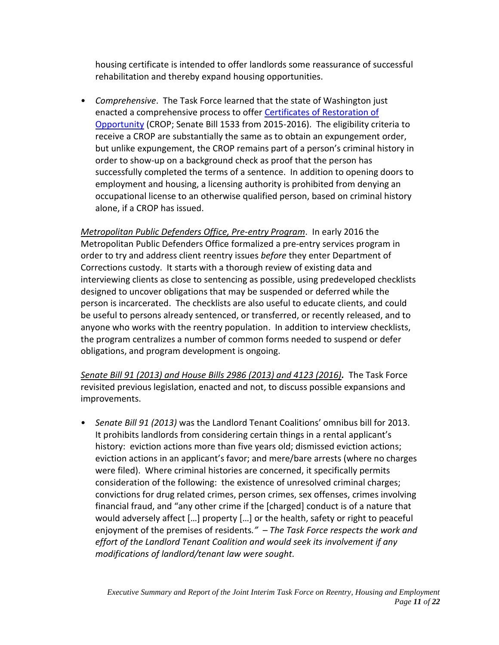housing certificate is intended to offer landlords some reassurance of successful rehabilitation and thereby expand housing opportunities.

• *Comprehensive*. The Task Force learned that the state of Washington just enacted a comprehensive process to offe[r Certificates of Restoration of](http://www.columbialegal.org/CROP)  [Opportunity](http://www.columbialegal.org/CROP) (CROP; Senate Bill 1533 from 2015-2016). The eligibility criteria to receive a CROP are substantially the same as to obtain an expungement order, but unlike expungement, the CROP remains part of a person's criminal history in order to show-up on a background check as proof that the person has successfully completed the terms of a sentence. In addition to opening doors to employment and housing, a licensing authority is prohibited from denying an occupational license to an otherwise qualified person, based on criminal history alone, if a CROP has issued.

*Metropolitan Public Defenders Office, Pre-entry Program*. In early 2016 the Metropolitan Public Defenders Office formalized a pre-entry services program in order to try and address client reentry issues *before* they enter Department of Corrections custody. It starts with a thorough review of existing data and interviewing clients as close to sentencing as possible, using predeveloped checklists designed to uncover obligations that may be suspended or deferred while the person is incarcerated. The checklists are also useful to educate clients, and could be useful to persons already sentenced, or transferred, or recently released, and to anyone who works with the reentry population. In addition to interview checklists, the program centralizes a number of common forms needed to suspend or defer obligations, and program development is ongoing.

*Senate Bill 91 (2013) and House Bills 2986 (2013) and 4123 (2016).* The Task Force revisited previous legislation, enacted and not, to discuss possible expansions and improvements.

• *Senate Bill 91 (2013)* was the Landlord Tenant Coalitions' omnibus bill for 2013. It prohibits landlords from considering certain things in a rental applicant's history: eviction actions more than five years old; dismissed eviction actions; eviction actions in an applicant's favor; and mere/bare arrests (where no charges were filed). Where criminal histories are concerned, it specifically permits consideration of the following: the existence of unresolved criminal charges; convictions for drug related crimes, person crimes, sex offenses, crimes involving financial fraud, and "any other crime if the [charged] conduct is of a nature that would adversely affect […] property […] or the health, safety or right to peaceful enjoyment of the premises of residents*." – The Task Force respects the work and effort of the Landlord Tenant Coalition and would seek its involvement if any modifications of landlord/tenant law were sought.*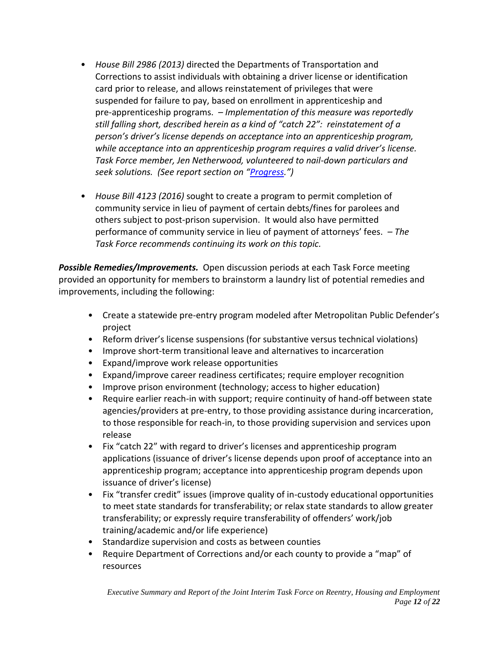- <span id="page-11-0"></span>• *House Bill 2986 (2013)* directed the Departments of Transportation and Corrections to assist individuals with obtaining a driver license or identification card prior to release, and allows reinstatement of privileges that were suspended for failure to pay, based on enrollment in apprenticeship and pre-apprenticeship programs. *– Implementation of this measure was reportedly still falling short, described herein as a kind of "catch 22": reinstatement of a person's driver's license depends on acceptance into an apprenticeship program, while acceptance into an apprenticeship program requires a valid driver's license. Task Force member, Jen Netherwood, volunteered to nail-down particulars and seek solutions. (See report section on "[Progress](#page-15-0).")*
- *House Bill 4123 (2016)* sought to create a program to permit completion of community service in lieu of payment of certain debts/fines for parolees and others subject to post-prison supervision. It would also have permitted performance of community service in lieu of payment of attorneys' fees. *– The Task Force recommends continuing its work on this topic.*

*Possible Remedies/Improvements.* Open discussion periods at each Task Force meeting provided an opportunity for members to brainstorm a laundry list of potential remedies and improvements, including the following:

- Create a statewide pre-entry program modeled after Metropolitan Public Defender's project
- Reform driver's license suspensions (for substantive versus technical violations)
- Improve short-term transitional leave and alternatives to incarceration
- Expand/improve work release opportunities
- Expand/improve career readiness certificates; require employer recognition
- Improve prison environment (technology; access to higher education)
- Require earlier reach-in with support; require continuity of hand-off between state agencies/providers at pre-entry, to those providing assistance during incarceration, to those responsible for reach-in, to those providing supervision and services upon release
- Fix "catch 22" with regard to driver's licenses and apprenticeship program applications (issuance of driver's license depends upon proof of acceptance into an apprenticeship program; acceptance into apprenticeship program depends upon issuance of driver's license)
- Fix "transfer credit" issues (improve quality of in-custody educational opportunities to meet state standards for transferability; or relax state standards to allow greater transferability; or expressly require transferability of offenders' work/job training/academic and/or life experience)
- Standardize supervision and costs as between counties
- Require Department of Corrections and/or each county to provide a "map" of resources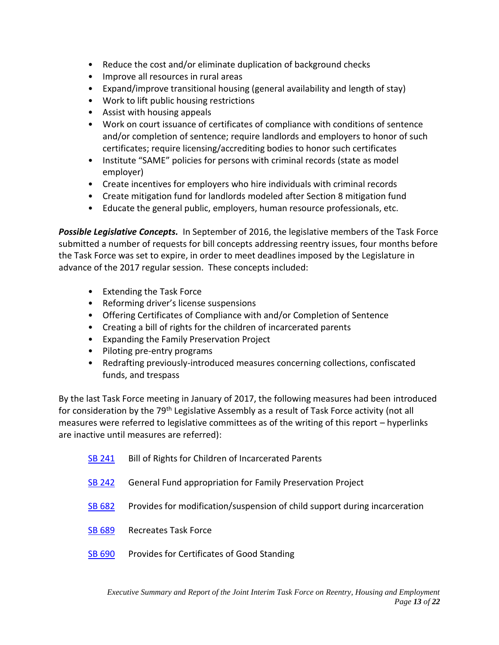- Reduce the cost and/or eliminate duplication of background checks
- Improve all resources in rural areas
- Expand/improve transitional housing (general availability and length of stay)
- Work to lift public housing restrictions
- Assist with housing appeals
- Work on court issuance of certificates of compliance with conditions of sentence and/or completion of sentence; require landlords and employers to honor of such certificates; require licensing/accrediting bodies to honor such certificates
- Institute "SAME" policies for persons with criminal records (state as model employer)
- Create incentives for employers who hire individuals with criminal records
- Create mitigation fund for landlords modeled after Section 8 mitigation fund
- Educate the general public, employers, human resource professionals, etc.

*Possible Legislative Concepts.* In September of 2016, the legislative members of the Task Force submitted a number of requests for bill concepts addressing reentry issues, four months before the Task Force was set to expire, in order to meet deadlines imposed by the Legislature in advance of the 2017 regular session. These concepts included:

- Extending the Task Force
- Reforming driver's license suspensions
- Offering Certificates of Compliance with and/or Completion of Sentence
- Creating a bill of rights for the children of incarcerated parents
- Expanding the Family Preservation Project
- Piloting pre-entry programs
- Redrafting previously-introduced measures concerning collections, confiscated funds, and trespass

By the last Task Force meeting in January of 2017, the following measures had been introduced for consideration by the 79<sup>th</sup> Legislative Assembly as a result of Task Force activity (not all measures were referred to legislative committees as of the writing of this report – hyperlinks are inactive until measures are referred):

| SB 241        | Bill of Rights for Children of Incarcerated Parents                        |
|---------------|----------------------------------------------------------------------------|
| <b>SB 242</b> | General Fund appropriation for Family Preservation Project                 |
| SB 682        | Provides for modification/suspension of child support during incarceration |
| SB 689        | <b>Recreates Task Force</b>                                                |
| SB 690        | Provides for Certificates of Good Standing                                 |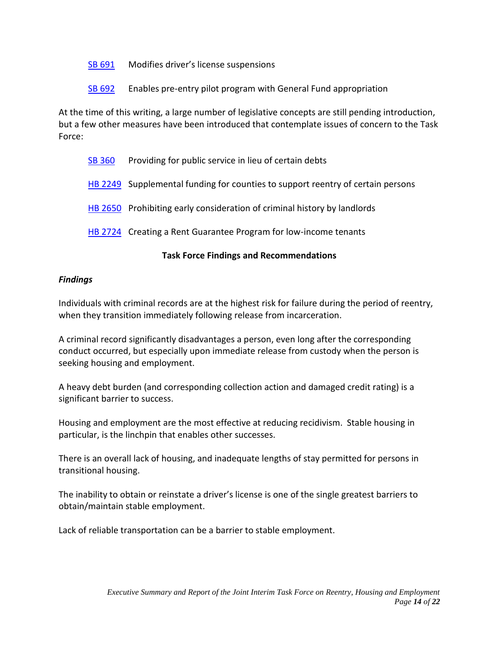[SB 691](https://olis.leg.state.or.us/liz/2017R1/Measures/Overview/SB691) Modifies driver's license suspensions

[SB 692](https://olis.leg.state.or.us/liz/2017R1/Measures/Overview/SB692) Enables pre-entry pilot program with General Fund appropriation

At the time of this writing, a large number of legislative concepts are still pending introduction, but a few other measures have been introduced that contemplate issues of concern to the Task Force:

[SB 360](https://olis.leg.state.or.us/liz/2017R1/Measures/Overview/SB360) Providing for public service in lieu of certain debts [HB 2249](https://olis.leg.state.or.us/liz/2017R1/Measures/Overview/HB2249) Supplemental funding for counties to support reentry of certain persons [HB 2650](https://olis.leg.state.or.us/liz/2017R1/Measures/Overview/HB2650) Prohibiting early consideration of criminal history by landlords

**[HB 2724](https://olis.leg.state.or.us/liz/2017R1/Measures/Overview/HB2724)** Creating a Rent Guarantee Program for low-income tenants

# **Task Force Findings and Recommendations**

# *Findings*

Individuals with criminal records are at the highest risk for failure during the period of reentry, when they transition immediately following release from incarceration.

A criminal record significantly disadvantages a person, even long after the corresponding conduct occurred, but especially upon immediate release from custody when the person is seeking housing and employment.

A heavy debt burden (and corresponding collection action and damaged credit rating) is a significant barrier to success.

Housing and employment are the most effective at reducing recidivism. Stable housing in particular, is the linchpin that enables other successes.

There is an overall lack of housing, and inadequate lengths of stay permitted for persons in transitional housing.

The inability to obtain or reinstate a driver's license is one of the single greatest barriers to obtain/maintain stable employment.

Lack of reliable transportation can be a barrier to stable employment.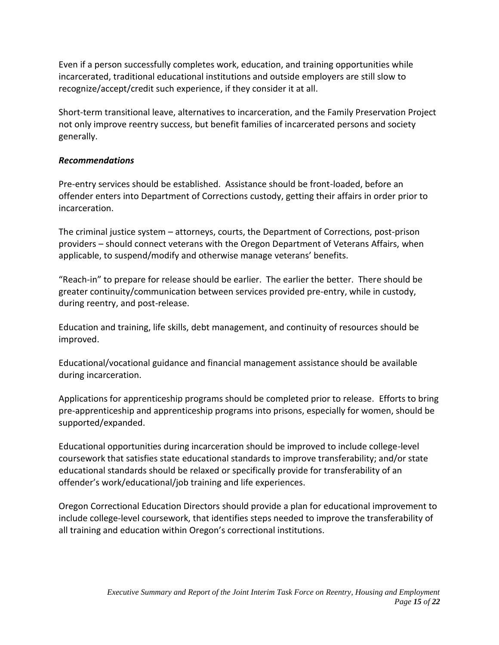Even if a person successfully completes work, education, and training opportunities while incarcerated, traditional educational institutions and outside employers are still slow to recognize/accept/credit such experience, if they consider it at all.

Short-term transitional leave, alternatives to incarceration, and the Family Preservation Project not only improve reentry success, but benefit families of incarcerated persons and society generally.

# *Recommendations*

Pre-entry services should be established. Assistance should be front-loaded, before an offender enters into Department of Corrections custody, getting their affairs in order prior to incarceration.

The criminal justice system – attorneys, courts, the Department of Corrections, post-prison providers – should connect veterans with the Oregon Department of Veterans Affairs, when applicable, to suspend/modify and otherwise manage veterans' benefits.

"Reach-in" to prepare for release should be earlier. The earlier the better. There should be greater continuity/communication between services provided pre-entry, while in custody, during reentry, and post-release.

Education and training, life skills, debt management, and continuity of resources should be improved.

Educational/vocational guidance and financial management assistance should be available during incarceration.

Applications for apprenticeship programs should be completed prior to release. Efforts to bring pre-apprenticeship and apprenticeship programs into prisons, especially for women, should be supported/expanded.

Educational opportunities during incarceration should be improved to include college-level coursework that satisfies state educational standards to improve transferability; and/or state educational standards should be relaxed or specifically provide for transferability of an offender's work/educational/job training and life experiences.

Oregon Correctional Education Directors should provide a plan for educational improvement to include college-level coursework, that identifies steps needed to improve the transferability of all training and education within Oregon's correctional institutions.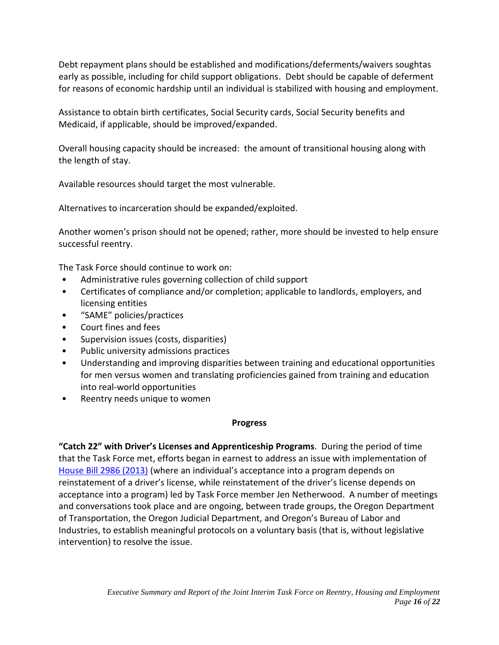Debt repayment plans should be established and modifications/deferments/waivers soughtas early as possible, including for child support obligations. Debt should be capable of deferment for reasons of economic hardship until an individual is stabilized with housing and employment.

Assistance to obtain birth certificates, Social Security cards, Social Security benefits and Medicaid, if applicable, should be improved/expanded.

Overall housing capacity should be increased: the amount of transitional housing along with the length of stay.

Available resources should target the most vulnerable.

Alternatives to incarceration should be expanded/exploited.

Another women's prison should not be opened; rather, more should be invested to help ensure successful reentry.

The Task Force should continue to work on:

- Administrative rules governing collection of child support
- Certificates of compliance and/or completion; applicable to landlords, employers, and licensing entities
- "SAME" policies/practices
- Court fines and fees
- Supervision issues (costs, disparities)
- Public university admissions practices
- Understanding and improving disparities between training and educational opportunities for men versus women and translating proficiencies gained from training and education into real-world opportunities
- Reentry needs unique to women

# **Progress**

<span id="page-15-0"></span>**"Catch 22" with Driver's Licenses and Apprenticeship Programs**. During the period of time that the Task Force met, efforts began in earnest to address an issue with implementation of [House Bill 2986 \(2013\)](#page-11-0) (where an individual's acceptance into a program depends on reinstatement of a driver's license, while reinstatement of the driver's license depends on acceptance into a program) led by Task Force member Jen Netherwood. A number of meetings and conversations took place and are ongoing, between trade groups, the Oregon Department of Transportation, the Oregon Judicial Department, and Oregon's Bureau of Labor and Industries, to establish meaningful protocols on a voluntary basis (that is, without legislative intervention) to resolve the issue.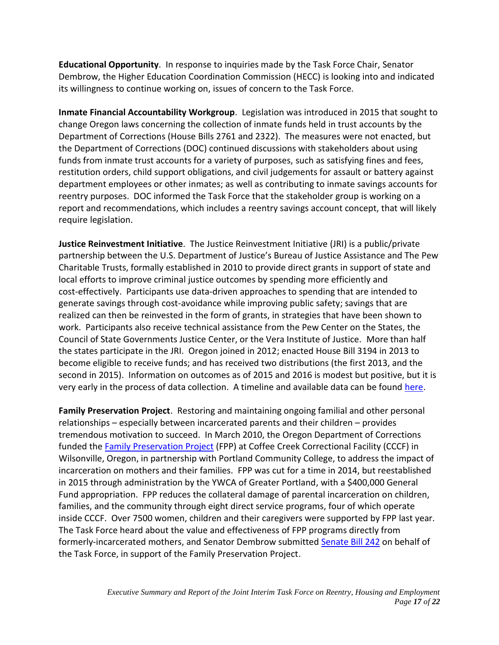**Educational Opportunity**. In response to inquiries made by the Task Force Chair, Senator Dembrow, the Higher Education Coordination Commission (HECC) is looking into and indicated its willingness to continue working on, issues of concern to the Task Force.

**Inmate Financial Accountability Workgroup**. Legislation was introduced in 2015 that sought to change Oregon laws concerning the collection of inmate funds held in trust accounts by the Department of Corrections (House Bills 2761 and 2322). The measures were not enacted, but the Department of Corrections (DOC) continued discussions with stakeholders about using funds from inmate trust accounts for a variety of purposes, such as satisfying fines and fees, restitution orders, child support obligations, and civil judgements for assault or battery against department employees or other inmates; as well as contributing to inmate savings accounts for reentry purposes. DOC informed the Task Force that the stakeholder group is working on a report and recommendations, which includes a reentry savings account concept, that will likely require legislation.

**Justice Reinvestment Initiative**. The Justice Reinvestment Initiative (JRI) is a public/private partnership between the U.S. Department of Justice's Bureau of Justice Assistance and The Pew Charitable Trusts, formally established in 2010 to provide direct grants in support of state and local efforts to improve criminal justice outcomes by spending more efficiently and cost-effectively. Participants use data-driven approaches to spending that are intended to generate savings through cost-avoidance while improving public safety; savings that are realized can then be reinvested in the form of grants, in strategies that have been shown to work. Participants also receive technical assistance from the Pew Center on the States, the Council of State Governments Justice Center, or the Vera Institute of Justice. More than half the states participate in the JRI. Oregon joined in 2012; enacted House Bill 3194 in 2013 to become eligible to receive funds; and has received two distributions (the first 2013, and the second in 2015). Information on outcomes as of 2015 and 2016 is modest but positive, but it is very early in the process of data collection. A timeline and available data can be found [here.](http://www.oregon.gov/cjc/justicereinvestment/Pages/default.aspx)

**Family Preservation Project**. Restoring and maintaining ongoing familial and other personal relationships – especially between incarcerated parents and their children – provides tremendous motivation to succeed. In March 2010, the Oregon Department of Corrections funded the [Family Preservation Project](https://www.ywcapdx.org/what-we-do/family-preservation-project/) (FPP) at Coffee Creek Correctional Facility (CCCF) in Wilsonville, Oregon, in partnership with Portland Community College, to address the impact of incarceration on mothers and their families. FPP was cut for a time in 2014, but reestablished in 2015 through administration by the YWCA of Greater Portland, with a \$400,000 General Fund appropriation. FPP reduces the collateral damage of parental incarceration on children, families, and the community through eight direct service programs, four of which operate inside CCCF. Over 7500 women, children and their caregivers were supported by FPP last year. The Task Force heard about the value and effectiveness of FPP programs directly from formerly-incarcerated mothers, and Senator Dembrow submitted [Senate Bill](https://olis.leg.state.or.us/liz/2017R1/Measures/Overview/SB242) 242 on behalf of the Task Force, in support of the Family Preservation Project.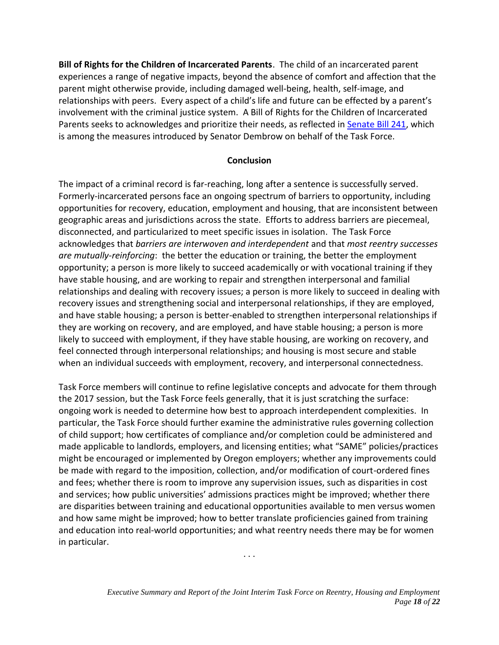**Bill of Rights for the Children of Incarcerated Parents**. The child of an incarcerated parent experiences a range of negative impacts, beyond the absence of comfort and affection that the parent might otherwise provide, including damaged well-being, health, self-image, and relationships with peers. Every aspect of a child's life and future can be effected by a parent's involvement with the criminal justice system. A Bill of Rights for the Children of Incarcerated Parents seeks to acknowledges and prioritize their needs, as reflected in [Senate Bill 241,](https://olis.leg.state.or.us/liz/2017R1/Measures/Overview/SB241) which is among the measures introduced by Senator Dembrow on behalf of the Task Force.

# **Conclusion**

The impact of a criminal record is far-reaching, long after a sentence is successfully served. Formerly-incarcerated persons face an ongoing spectrum of barriers to opportunity, including opportunities for recovery, education, employment and housing, that are inconsistent between geographic areas and jurisdictions across the state. Efforts to address barriers are piecemeal, disconnected, and particularized to meet specific issues in isolation. The Task Force acknowledges that *barriers are interwoven and interdependent* and that *most reentry successes are mutually-reinforcing*: the better the education or training, the better the employment opportunity; a person is more likely to succeed academically or with vocational training if they have stable housing, and are working to repair and strengthen interpersonal and familial relationships and dealing with recovery issues; a person is more likely to succeed in dealing with recovery issues and strengthening social and interpersonal relationships, if they are employed, and have stable housing; a person is better-enabled to strengthen interpersonal relationships if they are working on recovery, and are employed, and have stable housing; a person is more likely to succeed with employment, if they have stable housing, are working on recovery, and feel connected through interpersonal relationships; and housing is most secure and stable when an individual succeeds with employment, recovery, and interpersonal connectedness.

Task Force members will continue to refine legislative concepts and advocate for them through the 2017 session, but the Task Force feels generally, that it is just scratching the surface: ongoing work is needed to determine how best to approach interdependent complexities. In particular, the Task Force should further examine the administrative rules governing collection of child support; how certificates of compliance and/or completion could be administered and made applicable to landlords, employers, and licensing entities; what "SAME" policies/practices might be encouraged or implemented by Oregon employers; whether any improvements could be made with regard to the imposition, collection, and/or modification of court-ordered fines and fees; whether there is room to improve any supervision issues, such as disparities in cost and services; how public universities' admissions practices might be improved; whether there are disparities between training and educational opportunities available to men versus women and how same might be improved; how to better translate proficiencies gained from training and education into real-world opportunities; and what reentry needs there may be for women in particular.

. . .

*Executive Summary and Report of the Joint Interim Task Force on Reentry, Housing and Employment Page 18 of 22*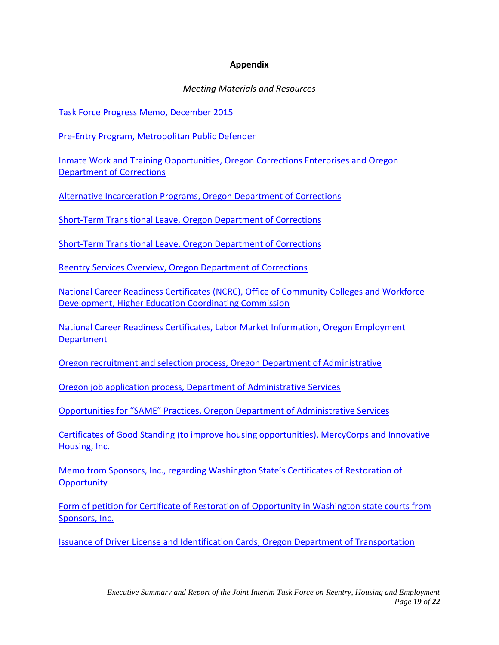# **Appendix**

#### *Meeting Materials and Resources*

<span id="page-18-0"></span>[Task Force Progress Memo, December 2015](file://///leg.local/cs/DEPT/2015-16%20Interim/Committees/TF%20on%20Reentry,%20SB%20969%20(2015)/Meeting%20Materials/12-10-15/2015.12.11%20Reentry%20TF%20progress%20report.pdf)

[Pre-Entry Program, Metropolitan Public Defender](https://olis.leg.state.or.us/liz/2015I1/Downloads/CommitteeMeetingDocument/92602)

[Inmate Work and Training Opportunities, Oregon Corrections Enterprises and Oregon](https://olis.leg.state.or.us/liz/2015I1/Downloads/CommitteeMeetingDocument/90051)  [Department of Corrections](https://olis.leg.state.or.us/liz/2015I1/Downloads/CommitteeMeetingDocument/90051)

[Alternative Incarceration Programs, Oregon Department of Corrections](https://olis.leg.state.or.us/liz/2015I1/Downloads/CommitteeMeetingDocument/90059)

[Short-Term Transitional Leave, Oregon Department of Corrections](https://olis.leg.state.or.us/liz/2015I1/Downloads/CommitteeMeetingDocument/90061)

[Short-Term Transitional Leave, Oregon Department of Corrections](https://olis.leg.state.or.us/liz/2015I1/Downloads/CommitteeMeetingDocument/92601)

[Reentry Services Overview, Oregon Department of Corrections](https://olis.leg.state.or.us/liz/2015I1/Downloads/CommitteeMeetingDocument/83218)

National Career Readiness Certificates [\(NCRC\), Office of Community Colleges and Workforce](https://olis.leg.state.or.us/liz/2015I1/Downloads/CommitteeMeetingDocument/90874)  [Development, Higher Education Coordinating Commission](https://olis.leg.state.or.us/liz/2015I1/Downloads/CommitteeMeetingDocument/90874)

[National Career Readiness Certificates, Labor Market Information, Oregon Employment](https://olis.leg.state.or.us/liz/2015I1/Downloads/CommitteeMeetingDocument/90876)  [Department](https://olis.leg.state.or.us/liz/2015I1/Downloads/CommitteeMeetingDocument/90876)

[Oregon recruitment and selection process, Oregon Department of Administrative](../Meeting%20Materials/7-21-2016%20Thursday%202PM/DAS%20hiring%20practices.pdf)

[Oregon job application process, Department of Administrative Services](https://olis.leg.state.or.us/liz/2015I1/Downloads/CommitteeMeetingDocument/94175)

[Opportunities for "SAME" Practices, Oregon Department of Administrative Services](https://olis.leg.state.or.us/liz/2015I1/Downloads/CommitteeMeetingDocument/94176)

[Certificates of Good Standing \(to improve housing opportunities\), MercyCorps and Innovative](https://olis.leg.state.or.us/liz/2015I1/Downloads/CommitteeMeetingDocument/90877)  [Housing, Inc.](https://olis.leg.state.or.us/liz/2015I1/Downloads/CommitteeMeetingDocument/90877)

[Memo from Sponsors, Inc., regarding Washington State's Certificates of Res](https://olis.leg.state.or.us/liz/2015I1/Downloads/CommitteeMeetingDocument/92025)toration of **[Opportunity](https://olis.leg.state.or.us/liz/2015I1/Downloads/CommitteeMeetingDocument/92025)** 

[Form of petition for Certificate of Restoration of Opportunity in Washington state courts from](https://olis.leg.state.or.us/liz/2015I1/Downloads/CommitteeMeetingDocument/92024)  [Sponsors, Inc.](https://olis.leg.state.or.us/liz/2015I1/Downloads/CommitteeMeetingDocument/92024)

[Issuance of Driver License and Identification Cards, Oregon Department of Transportation](https://olis.leg.state.or.us/liz/2015I1/Downloads/CommitteeMeetingDocument/91534)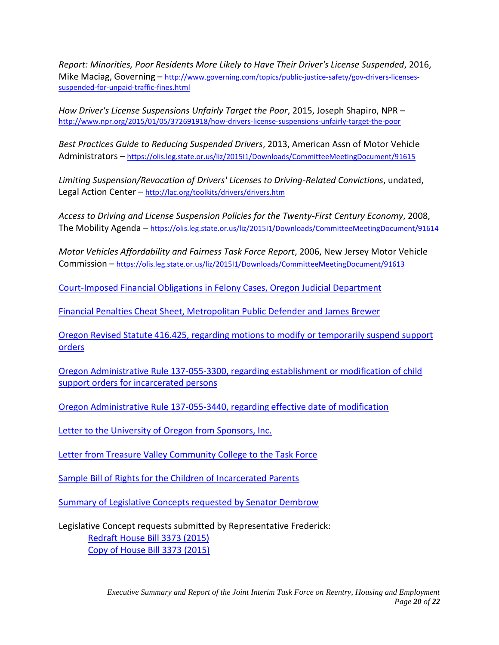*Report: Minorities, Poor Residents More Likely to Have Their Driver's License Suspended*, 2016, Mike Maciag, Governing – [http://www.governing.com/topics/public-justice-safety/gov-drivers-licenses](http://www.governing.com/topics/public-justice-safety/gov-drivers-licenses-suspended-for-unpaid-traffic-fines.html)[suspended-for-unpaid-traffic-fines.html](http://www.governing.com/topics/public-justice-safety/gov-drivers-licenses-suspended-for-unpaid-traffic-fines.html)

*How Driver's License Suspensions Unfairly Target the Poor*, 2015, Joseph Shapiro, NPR – <http://www.npr.org/2015/01/05/372691918/how-drivers-license-suspensions-unfairly-target-the-poor>

*Best Practices Guide to Reducing Suspended Drivers*, 2013, American Assn of Motor Vehicle Administrators – <https://olis.leg.state.or.us/liz/2015I1/Downloads/CommitteeMeetingDocument/91615>

*Limiting Suspension/Revocation of Drivers' Licenses to Driving-Related Convictions*, undated, Legal Action Center - <http://lac.org/toolkits/drivers/drivers.htm>

*Access to Driving and License Suspension Policies for the Twenty-First Century Economy*, 2008, The Mobility Agenda - <https://olis.leg.state.or.us/liz/2015I1/Downloads/CommitteeMeetingDocument/91614>

*Motor Vehicles Affordability and Fairness Task Force Report*, 2006, New Jersey Motor Vehicle Commission – <https://olis.leg.state.or.us/liz/2015I1/Downloads/CommitteeMeetingDocument/91613>

[Court-Imposed Financial Obligations in Felony Cases, Oregon Judicial Department](https://olis.leg.state.or.us/liz/2015I1/Downloads/CommitteeMeetingDocument/92024)

[Financial Penalties Cheat Sheet, Metropolitan Public Defender and James Brewer](https://olis.leg.state.or.us/liz/2015I1/Downloads/CommitteeMeetingDocument/92029)

[Oregon Revised Statute 416.425, regarding motions to modify or temporarily suspend support](https://olis.leg.state.or.us/liz/2015I1/Downloads/CommitteeMeetingDocument/92020)  [orders](https://olis.leg.state.or.us/liz/2015I1/Downloads/CommitteeMeetingDocument/92020)

[Oregon Administrative Rule 137-055-3300, regarding establishment or modification of child](https://olis.leg.state.or.us/liz/2015I1/Downloads/CommitteeMeetingDocument/92021)  [support orders for incarcerated persons](https://olis.leg.state.or.us/liz/2015I1/Downloads/CommitteeMeetingDocument/92021)

[Oregon Administrative Rule 137-055-3440, regarding effective date of modification](https://olis.leg.state.or.us/liz/2015I1/Downloads/CommitteeMeetingDocument/92019)

[Letter to the University of Oregon from Sponsors, Inc.](https://olis.leg.state.or.us/liz/2015I1/Downloads/CommitteeMeetingDocument/91043)

[Letter from Treasure Valley Community College to the Task Force](https://olis.leg.state.or.us/liz/2015I1/Downloads/CommitteeMeetingDocument/94173)

Sample [Bill of Rights for the Children of Incarcerated Parents](https://olis.leg.state.or.us/liz/2015I1/Downloads/CommitteeMeetingDocument/92684)

[Summary of Legislative Concepts requested by Senator Dembrow](https://olis.leg.state.or.us/liz/2015I1/Downloads/CommitteeMeetingDocument/93138)

Legislative Concept requests submitted by Representative Frederick: [Redraft House Bill 3373 \(2015\)](https://olis.leg.state.or.us/liz/2015I1/Downloads/CommitteeMeetingDocument/93145) [Copy of House Bill 3373 \(2015\)](https://olis.leg.state.or.us/liz/2015I1/Downloads/CommitteeMeetingDocument/93142)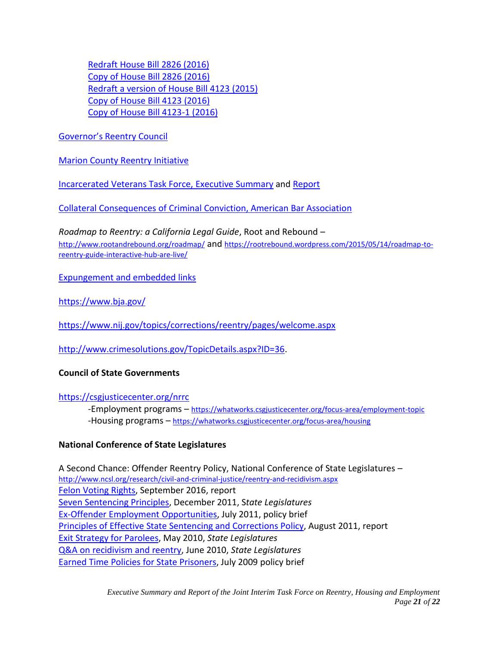[Redraft House Bill 2826 \(2016\)](https://olis.leg.state.or.us/liz/2015I1/Downloads/CommitteeMeetingDocument/93146) [Copy of House Bill 2826 \(2016\)](https://olis.leg.state.or.us/liz/2015I1/Downloads/CommitteeMeetingDocument/93141) [Redraft a version of House Bill 4123](https://olis.leg.state.or.us/liz/2015I1/Downloads/CommitteeMeetingDocument/93147) (2015) [Copy of House Bill 4123 \(2016\)](https://olis.leg.state.or.us/liz/2015I1/Downloads/CommitteeMeetingDocument/93143) [Copy of House Bill 4123-1 \(2016\)](https://olis.leg.state.or.us/liz/2015I1/Downloads/CommitteeMeetingDocument/93144)

Governor's [Reentry Council](https://www.oregon.gov/doc/OMR/Pages/governor_reentry_council.aspx)

**[Marion County Reentry Initiative](http://www.co.marion.or.us/CS/Reentry)** 

[Incarcerated Veterans Task Force, Executive Summary](https://olis.leg.state.or.us/liz/2015I1/Downloads/CommitteeMeetingDocument/92642) and [Report](https://olis.leg.state.or.us/liz/2015I1/Downloads/CommitteeMeetingDocument/92643)

[Collateral Consequences of Criminal Conviction, American Bar Association](http://www.abacollateralconsequences.org/)

*Roadmap to Reentry: a California Legal Guide*, Root and Rebound – <http://www.rootandrebound.org/roadmap/> and [https://rootrebound.wordpress.com/2015/05/14/roadmap-to](https://rootrebound.wordpress.com/2015/05/14/roadmap-to-reentry-guide-interactive-hub-are-live/)[reentry-guide-interactive-hub-are-live/](https://rootrebound.wordpress.com/2015/05/14/roadmap-to-reentry-guide-interactive-hub-are-live/)

[Expungement and embedded links](../Meeting%20Materials/5-26-16/Expungement%20memo.pdf)

<https://www.bja.gov/>

<https://www.nij.gov/topics/corrections/reentry/pages/welcome.aspx>

[http://www.crimesolutions.gov/TopicDetails.aspx?ID=36.](http://www.crimesolutions.gov/TopicDetails.aspx?ID=36)

# **Council of State Governments**

# <https://csgjusticecenter.org/nrrc>

-Employment programs – <https://whatworks.csgjusticecenter.org/focus-area/employment-topic> -Housing programs – <https://whatworks.csgjusticecenter.org/focus-area/housing>

# **National Conference of State Legislatures**

A Second Chance: Offender Reentry Policy, National Conference of State Legislatures – <http://www.ncsl.org/research/civil-and-criminal-justice/reentry-and-recidivism.aspx> Felon [Voting](http://www.ncsl.org/default.aspx?TabID=16719) Rights, September 2016, report Seven [Sentencing](http://www.ncsl.org/issues-research/civil-and-criminal-justice/seven-sentencing-principles.aspx) Principles, December 2011, S*tate Legislatures* Ex-Offender Employment [Opportunities,](http://www.ncsl.org/default.aspx?TabId=23326) July 2011, policy brief Principles of Effective State Sentencing and [Corrections](http://www.ncsl.org/default.aspx?TabId=23325) Policy, August 2011, report Exit Strategy for [Parolees,](http://www.ncsl.org/default.aspx?tabid=20369) May 2010, *State Legislatures* Q&A on [recidivism](http://www.ncsl.org/default.aspx?tabid=20413) and reentry, June 2010, *State Legislatures* Earned Time Policies for State [Prisoners,](http://www.ncsl.org/default.aspx?tabid=21058) July 2009 policy brief